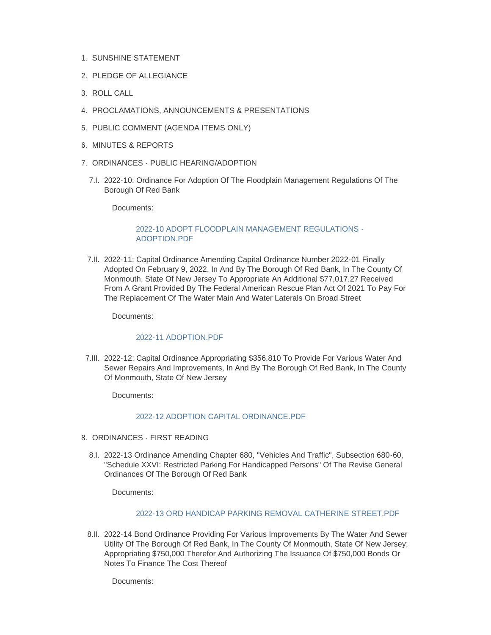- 1. SUNSHINE STATEMENT
- 2. PLEDGE OF ALLEGIANCE
- ROLL CALL 3.
- PROCLAMATIONS, ANNOUNCEMENTS & PRESENTATIONS 4.
- 5. PUBLIC COMMENT (AGENDA ITEMS ONLY)
- 6. MINUTES & REPORTS
- 7. ORDINANCES PUBLIC HEARING/ADOPTION
	- 7.I. 2022-10: Ordinance For Adoption Of The Floodplain Management Regulations Of The Borough Of Red Bank

Documents:

### [2022-10 ADOPT FLOODPLAIN MANAGEMENT REGULATIONS -](http://www.redbanknj.org/AgendaCenter/ViewFile/Item/7607?fileID=20917) ADOPTION.PDF

7.II. 2022-11: Capital Ordinance Amending Capital Ordinance Number 2022-01 Finally Adopted On February 9, 2022, In And By The Borough Of Red Bank, In The County Of Monmouth, State Of New Jersey To Appropriate An Additional \$77,017.27 Received From A Grant Provided By The Federal American Rescue Plan Act Of 2021 To Pay For The Replacement Of The Water Main And Water Laterals On Broad Street

Documents:

#### [2022-11 ADOPTION.PDF](http://www.redbanknj.org/AgendaCenter/ViewFile/Item/7608?fileID=20918)

7.III. 2022-12: Capital Ordinance Appropriating \$356,810 To Provide For Various Water And Sewer Repairs And Improvements, In And By The Borough Of Red Bank, In The County Of Monmouth, State Of New Jersey

Documents:

### [2022-12 ADOPTION CAPITAL ORDINANCE.PDF](http://www.redbanknj.org/AgendaCenter/ViewFile/Item/7609?fileID=20919)

- 8. ORDINANCES FIRST READING
	- 8.I. 2022-13 Ordinance Amending Chapter 680, "Vehicles And Traffic", Subsection 680-60, "Schedule XXVI: Restricted Parking For Handicapped Persons" Of The Revise General Ordinances Of The Borough Of Red Bank

Documents:

# [2022-13 ORD HANDICAP PARKING REMOVAL CATHERINE STREET.PDF](http://www.redbanknj.org/AgendaCenter/ViewFile/Item/7610?fileID=20920)

8.II. 2022-14 Bond Ordinance Providing For Various Improvements By The Water And Sewer Utility Of The Borough Of Red Bank, In The County Of Monmouth, State Of New Jersey; Appropriating \$750,000 Therefor And Authorizing The Issuance Of \$750,000 Bonds Or Notes To Finance The Cost Thereof

Documents: